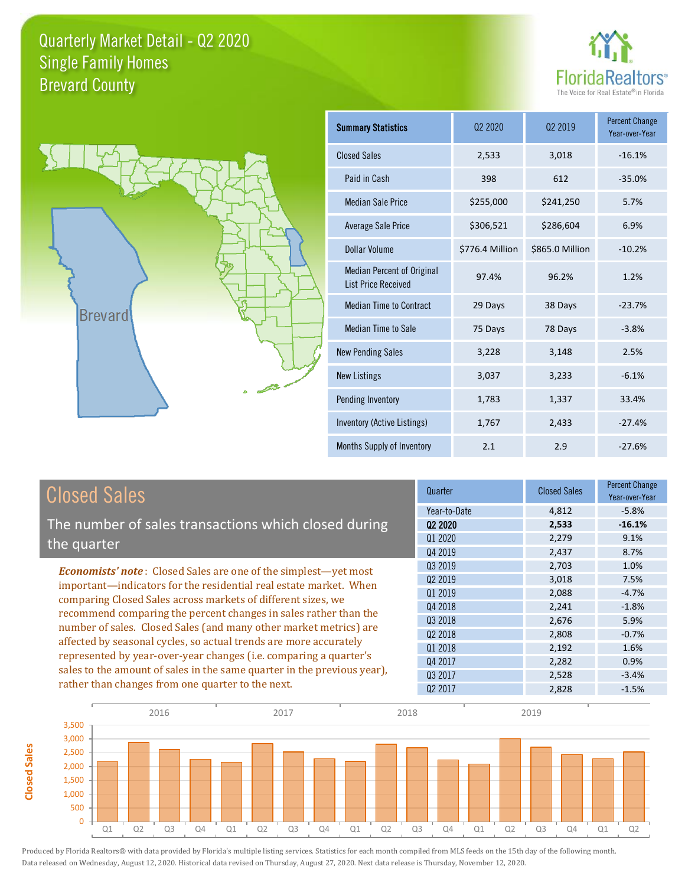



**Closed Sales**

**Closed Sales** 

| <b>Summary Statistics</b>                                       | 02 2020         | 02 2019         | <b>Percent Change</b><br>Year-over-Year |
|-----------------------------------------------------------------|-----------------|-----------------|-----------------------------------------|
| <b>Closed Sales</b>                                             | 2,533           | 3,018           | $-16.1%$                                |
| Paid in Cash                                                    | 398             | 612             | $-35.0%$                                |
| Median Sale Price                                               | \$255,000       | \$241,250       | 5.7%                                    |
| <b>Average Sale Price</b>                                       | \$306,521       | \$286,604       | 6.9%                                    |
| Dollar Volume                                                   | \$776.4 Million | \$865.0 Million | $-10.2%$                                |
| <b>Median Percent of Original</b><br><b>List Price Received</b> | 97.4%           | 96.2%           | 1.2%                                    |
| <b>Median Time to Contract</b>                                  | 29 Days         | 38 Days         | $-23.7%$                                |
| Median Time to Sale                                             | 75 Days         | 78 Days         | $-3.8%$                                 |
| <b>New Pending Sales</b>                                        | 3,228           | 3,148           | 2.5%                                    |
| <b>New Listings</b>                                             | 3,037           | 3,233           | $-6.1%$                                 |
| Pending Inventory                                               | 1,783           | 1,337           | 33.4%                                   |
| Inventory (Active Listings)                                     | 1,767           | 2,433           | $-27.4%$                                |
| Months Supply of Inventory                                      | 2.1             | 2.9             | $-27.6%$                                |

| <b>Closed Sales</b>                                                     | Quarter             | <b>Closed Sales</b> | <b>Percent Change</b><br>Year-over-Year |
|-------------------------------------------------------------------------|---------------------|---------------------|-----------------------------------------|
|                                                                         | Year-to-Date        | 4,812               | $-5.8%$                                 |
| The number of sales transactions which closed during                    | Q <sub>2</sub> 2020 | 2,533               | $-16.1%$                                |
| the quarter                                                             | Q1 2020             | 2,279               | 9.1%                                    |
|                                                                         | Q4 2019             | 2,437               | 8.7%                                    |
| <b>Economists' note:</b> Closed Sales are one of the simplest—yet most  | 03 2019             | 2,703               | 1.0%                                    |
| important—indicators for the residential real estate market. When       | Q <sub>2</sub> 2019 | 3,018               | 7.5%                                    |
| comparing Closed Sales across markets of different sizes, we            | Q1 2019             | 2,088               | $-4.7%$                                 |
| recommend comparing the percent changes in sales rather than the        | Q4 2018             | 2,241               | $-1.8%$                                 |
| number of sales. Closed Sales (and many other market metrics) are       | Q3 2018             | 2,676               | 5.9%                                    |
| affected by seasonal cycles, so actual trends are more accurately       | Q <sub>2</sub> 2018 | 2,808               | $-0.7%$                                 |
|                                                                         | Q1 2018             | 2,192               | 1.6%                                    |
| represented by year-over-year changes (i.e. comparing a quarter's       | Q4 2017             | 2,282               | 0.9%                                    |
| sales to the amount of sales in the same quarter in the previous year), | 03 2017             | 2,528               | $-3.4%$                                 |
| rather than changes from one quarter to the next.                       | Q <sub>2</sub> 2017 | 2,828               | $-1.5%$                                 |

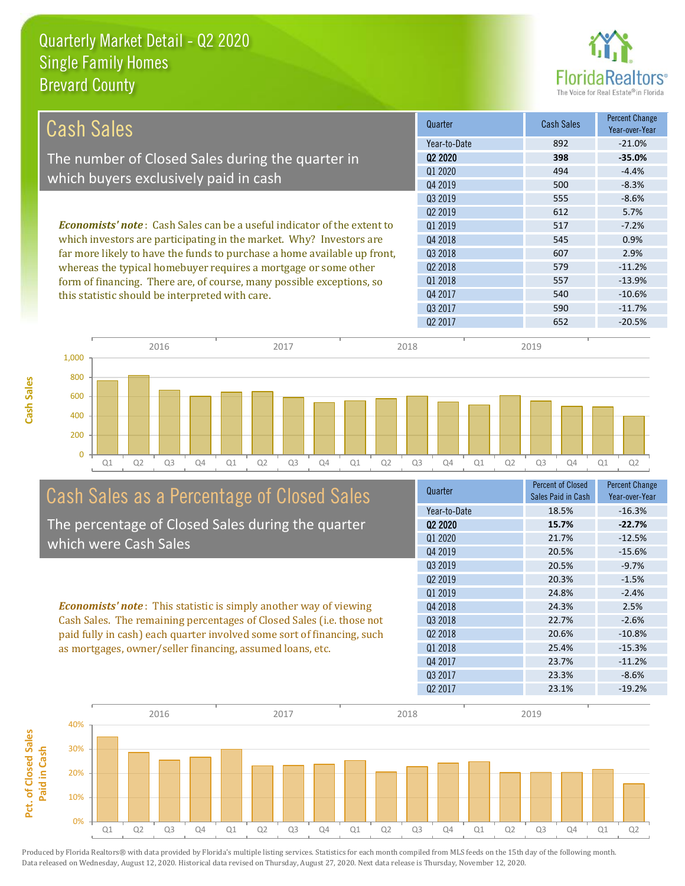

| Cash Sales                                                                     | Quarter             | <b>Cash Sales</b> | <b>Percent Change</b><br>Year-over-Year |
|--------------------------------------------------------------------------------|---------------------|-------------------|-----------------------------------------|
|                                                                                | Year-to-Date        | 892               | $-21.0%$                                |
| The number of Closed Sales during the quarter in                               | Q <sub>2</sub> 2020 | 398               | $-35.0%$                                |
|                                                                                | Q1 2020             | 494               | $-4.4%$                                 |
| which buyers exclusively paid in cash                                          | Q4 2019             | 500               | $-8.3%$                                 |
|                                                                                | 03 2019             | 555               | $-8.6%$                                 |
|                                                                                | 02 2019             | 612               | 5.7%                                    |
| <b>Economists' note:</b> Cash Sales can be a useful indicator of the extent to | 01 2019             | 517               | $-7.2%$                                 |
| which investors are participating in the market. Why? Investors are            | 04 2018             | 545               | 0.9%                                    |
| far more likely to have the funds to purchase a home available up front,       | Q3 2018             | 607               | 2.9%                                    |
| whereas the typical homebuyer requires a mortgage or some other                | Q <sub>2</sub> 2018 | 579               | $-11.2%$                                |
| form of financing. There are, of course, many possible exceptions, so          | 01 2018             | 557               | $-13.9%$                                |
| this statistic should be interpreted with care.                                | Q4 2017             | 540               | $-10.6%$                                |
|                                                                                | 03 2017             | 590               | $-11.7%$                                |



# Cash Sales as a Percentage of Closed Sales

The percentage of Closed Sales during the quarter which were Cash Sales

*Economists' note* : This statistic is simply another way of viewing Cash Sales. The remaining percentages of Closed Sales (i.e. those not paid fully in cash) each quarter involved some sort of financing, such as mortgages, owner/seller financing, assumed loans, etc.



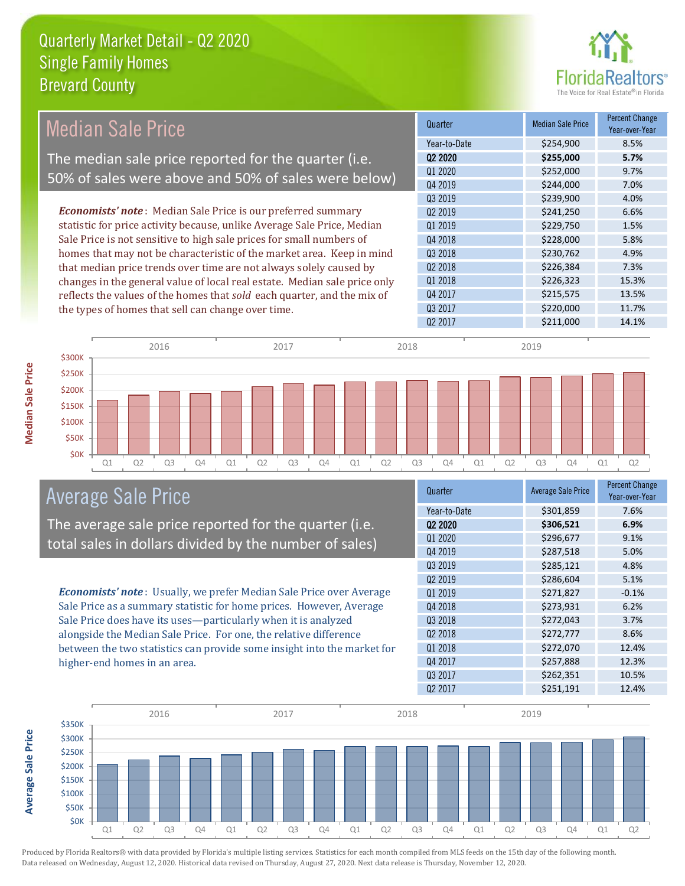

| <b>Median Sale Price</b><br>Year-to-Date<br>Q <sub>2</sub> 2020<br>The median sale price reported for the quarter (i.e.<br>Q1 2020<br>50% of sales were above and 50% of sales were below)<br>Q4 2019<br>Q3 2019<br><b>Economists' note:</b> Median Sale Price is our preferred summary<br>Q <sub>2</sub> 2019<br>statistic for price activity because, unlike Average Sale Price, Median<br>Q1 2019<br>Sale Price is not sensitive to high sale prices for small numbers of<br>Q4 2018<br>homes that may not be characteristic of the market area. Keep in mind<br>Q3 2018<br>that median price trends over time are not always solely caused by<br>Q <sub>2</sub> 2018 | \$254,900<br>\$255,000<br>\$252,000 | 8.5%<br>5.7% |
|--------------------------------------------------------------------------------------------------------------------------------------------------------------------------------------------------------------------------------------------------------------------------------------------------------------------------------------------------------------------------------------------------------------------------------------------------------------------------------------------------------------------------------------------------------------------------------------------------------------------------------------------------------------------------|-------------------------------------|--------------|
|                                                                                                                                                                                                                                                                                                                                                                                                                                                                                                                                                                                                                                                                          |                                     |              |
|                                                                                                                                                                                                                                                                                                                                                                                                                                                                                                                                                                                                                                                                          |                                     |              |
|                                                                                                                                                                                                                                                                                                                                                                                                                                                                                                                                                                                                                                                                          |                                     | 9.7%         |
|                                                                                                                                                                                                                                                                                                                                                                                                                                                                                                                                                                                                                                                                          | \$244,000                           | 7.0%         |
|                                                                                                                                                                                                                                                                                                                                                                                                                                                                                                                                                                                                                                                                          | \$239,900                           | 4.0%         |
|                                                                                                                                                                                                                                                                                                                                                                                                                                                                                                                                                                                                                                                                          | \$241,250                           | 6.6%         |
|                                                                                                                                                                                                                                                                                                                                                                                                                                                                                                                                                                                                                                                                          | \$229,750                           | 1.5%         |
|                                                                                                                                                                                                                                                                                                                                                                                                                                                                                                                                                                                                                                                                          | \$228,000                           | 5.8%         |
|                                                                                                                                                                                                                                                                                                                                                                                                                                                                                                                                                                                                                                                                          | \$230,762                           | 4.9%         |
|                                                                                                                                                                                                                                                                                                                                                                                                                                                                                                                                                                                                                                                                          | \$226,384                           | 7.3%         |
| Q1 2018<br>changes in the general value of local real estate. Median sale price only                                                                                                                                                                                                                                                                                                                                                                                                                                                                                                                                                                                     | \$226,323                           | 15.3%        |
| Q4 2017<br>reflects the values of the homes that sold each quarter, and the mix of                                                                                                                                                                                                                                                                                                                                                                                                                                                                                                                                                                                       | \$215,575                           | 13.5%        |
| Q3 2017<br>the types of homes that sell can change over time.                                                                                                                                                                                                                                                                                                                                                                                                                                                                                                                                                                                                            | \$220,000                           | 11.7%        |
| Q <sub>2</sub> 2017                                                                                                                                                                                                                                                                                                                                                                                                                                                                                                                                                                                                                                                      | \$211,000                           | 14.1%        |



## Average Sale Price

The average sale price reported for the quarter (i.e. total sales in dollars divided by the number of sales)

*Economists' note* : Usually, we prefer Median Sale Price over Average Sale Price as a summary statistic for home prices. However, Average Sale Price does have its uses—particularly when it is analyzed alongside the Median Sale Price. For one, the relative difference between the two statistics can provide some insight into the market for higher-end homes in an area.

| Quarter             | <b>Average Sale Price</b> | <b>Percent Change</b><br>Year-over-Year |
|---------------------|---------------------------|-----------------------------------------|
| Year-to-Date        | \$301,859                 | 7.6%                                    |
| Q2 2020             | \$306,521                 | 6.9%                                    |
| Q1 2020             | \$296,677                 | 9.1%                                    |
| Q4 2019             | \$287,518                 | 5.0%                                    |
| Q3 2019             | \$285,121                 | 4.8%                                    |
| Q <sub>2</sub> 2019 | \$286,604                 | 5.1%                                    |
| 01 2019             | \$271,827                 | $-0.1%$                                 |
| Q4 2018             | \$273,931                 | 6.2%                                    |
| Q3 2018             | \$272,043                 | 3.7%                                    |
| Q <sub>2</sub> 2018 | \$272,777                 | 8.6%                                    |
| Q1 2018             | \$272,070                 | 12.4%                                   |
| Q4 2017             | \$257,888                 | 12.3%                                   |
| Q3 2017             | \$262,351                 | 10.5%                                   |
| Q <sub>2</sub> 2017 | \$251,191                 | 12.4%                                   |



Produced by Florida Realtors® with data provided by Florida's multiple listing services. Statistics for each month compiled from MLS feeds on the 15th day of the following month. Data released on Wednesday, August 12, 2020. Historical data revised on Thursday, August 27, 2020. Next data release is Thursday, November 12, 2020.

**Average Sale Price**

**Average Sale Price**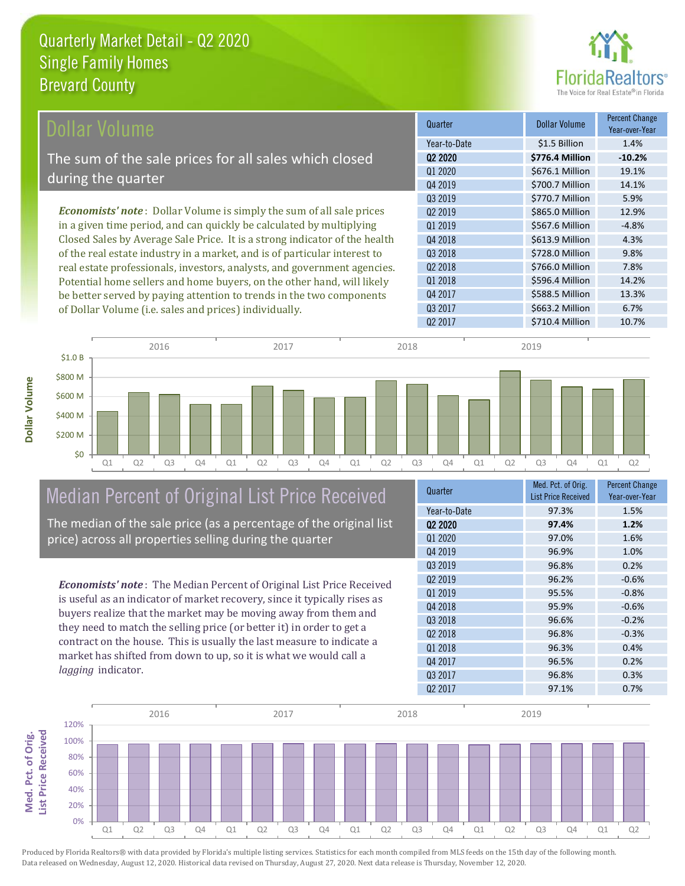

| Dollar Volume                                                               | Quarter             | <b>Dollar Volume</b> | <b>Percent Change</b><br>Year-over-Year |
|-----------------------------------------------------------------------------|---------------------|----------------------|-----------------------------------------|
|                                                                             | Year-to-Date        | \$1.5 Billion        | 1.4%                                    |
| The sum of the sale prices for all sales which closed                       | Q <sub>2</sub> 2020 | \$776.4 Million      | $-10.2%$                                |
|                                                                             | Q1 2020             | \$676.1 Million      | 19.1%                                   |
| during the quarter                                                          | Q4 2019             | \$700.7 Million      | 14.1%                                   |
|                                                                             | Q3 2019             | \$770.7 Million      | 5.9%                                    |
| <b>Economists' note:</b> Dollar Volume is simply the sum of all sale prices | 02 2019             | \$865.0 Million      | 12.9%                                   |
| in a given time period, and can quickly be calculated by multiplying        | 01 2019             | \$567.6 Million      | $-4.8%$                                 |
| Closed Sales by Average Sale Price. It is a strong indicator of the health  | Q4 2018             | \$613.9 Million      | 4.3%                                    |
| of the real estate industry in a market, and is of particular interest to   | Q3 2018             | \$728.0 Million      | 9.8%                                    |
| real estate professionals, investors, analysts, and government agencies.    | Q <sub>2</sub> 2018 | \$766.0 Million      | 7.8%                                    |
| Potential home sellers and home buyers, on the other hand, will likely      | Q1 2018             | \$596.4 Million      | 14.2%                                   |
| be better served by paying attention to trends in the two components        | Q4 2017             | \$588.5 Million      | 13.3%                                   |

Q1 Q2 Q3 Q4 Q1 Q2 Q3 Q4 Q1 Q2 Q3 Q4 Q1 Q2 Q3 Q4 Q1 Q2 \$0 \$200 M \$400 M \$600 M \$800 M \$1.0 B 2016 2017 2018 2019

## Median Percent of Original List Price Received

of Dollar Volume (i.e. sales and prices) individually.

The median of the sale price (as a percentage of the original list price) across all properties selling during the quarter

*Economists' note* : The Median Percent of Original List Price Received is useful as an indicator of market recovery, since it typically rises as buyers realize that the market may be moving away from them and they need to match the selling price (or better it) in order to get a contract on the house. This is usually the last measure to indicate a market has shifted from down to up, so it is what we would call a *lagging* indicator.

| Year-to-Date<br>97.3%<br>1.5%<br>02 2020<br>97.4%<br>1.2%<br>01 2020<br>97.0%<br>1.6%<br>Q4 2019<br>1.0%<br>96.9%<br>Q3 2019<br>96.8%<br>0.2%<br>Q <sub>2</sub> 2019<br>96.2%<br>$-0.6%$<br>01 2019<br>95.5%<br>$-0.8%$<br>Q4 2018<br>$-0.6%$<br>95.9%<br>03 2018<br>96.6%<br>$-0.2%$<br>Q <sub>2</sub> 2018<br>96.8%<br>$-0.3%$<br>Q1 2018<br>96.3%<br>0.4%<br>Q4 2017<br>96.5%<br>0.2%<br>Q3 2017<br>96.8%<br>0.3%<br>Q <sub>2</sub> 2017<br>0.7%<br>97.1% | Quarter | Med. Pct. of Orig.<br><b>List Price Received</b> | <b>Percent Change</b><br>Year-over-Year |
|--------------------------------------------------------------------------------------------------------------------------------------------------------------------------------------------------------------------------------------------------------------------------------------------------------------------------------------------------------------------------------------------------------------------------------------------------------------|---------|--------------------------------------------------|-----------------------------------------|
|                                                                                                                                                                                                                                                                                                                                                                                                                                                              |         |                                                  |                                         |
|                                                                                                                                                                                                                                                                                                                                                                                                                                                              |         |                                                  |                                         |
|                                                                                                                                                                                                                                                                                                                                                                                                                                                              |         |                                                  |                                         |
|                                                                                                                                                                                                                                                                                                                                                                                                                                                              |         |                                                  |                                         |
|                                                                                                                                                                                                                                                                                                                                                                                                                                                              |         |                                                  |                                         |
|                                                                                                                                                                                                                                                                                                                                                                                                                                                              |         |                                                  |                                         |
|                                                                                                                                                                                                                                                                                                                                                                                                                                                              |         |                                                  |                                         |
|                                                                                                                                                                                                                                                                                                                                                                                                                                                              |         |                                                  |                                         |
|                                                                                                                                                                                                                                                                                                                                                                                                                                                              |         |                                                  |                                         |
|                                                                                                                                                                                                                                                                                                                                                                                                                                                              |         |                                                  |                                         |
|                                                                                                                                                                                                                                                                                                                                                                                                                                                              |         |                                                  |                                         |
|                                                                                                                                                                                                                                                                                                                                                                                                                                                              |         |                                                  |                                         |
|                                                                                                                                                                                                                                                                                                                                                                                                                                                              |         |                                                  |                                         |
|                                                                                                                                                                                                                                                                                                                                                                                                                                                              |         |                                                  |                                         |
|                                                                                                                                                                                                                                                                                                                                                                                                                                                              |         |                                                  |                                         |

Q3 2017 \$663.2 Million 6.7%

Q2 2017 \$710.4 Million 10.7%



**Med. Pct. of Orig.**  Med. Pct. of Orig. **Ist Price Received List Price Received**

**Dollar Volume**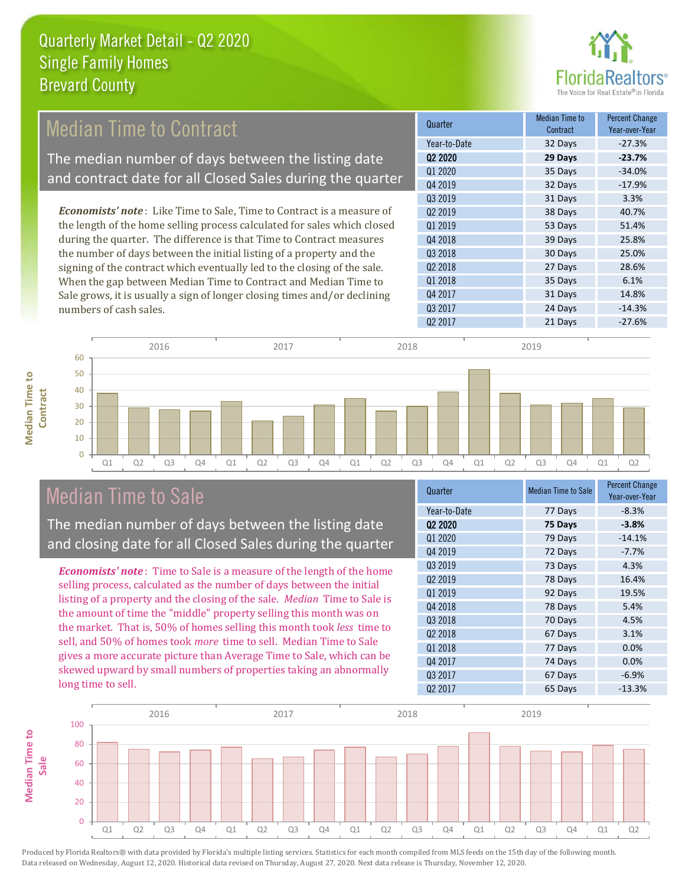

#### *Economists' note* : Like Time to Sale, Time to Contract is a measure of the length of the home selling process calculated for sales which closed Quarter Median Time to **Median Time to Contract** Median Time to Contract The median number of days between the listing date and contract date for all Closed Sales during the quarter

during the quarter. The difference is that Time to Contract measures the number of days between the initial listing of a property and the signing of the contract which eventually led to the closing of the sale. When the gap between Median Time to Contract and Median Time to Sale grows, it is usually a sign of longer closing times and/or declining numbers of cash sales.





### Median Time to Sale

**Median Time to** 

**Median Time to** 

The median number of days between the listing date and closing date for all Closed Sales during the quarter

*Economists' note* : Time to Sale is a measure of the length of the home selling process, calculated as the number of days between the initial listing of a property and the closing of the sale. *Median* Time to Sale is the amount of time the "middle" property selling this month was on the market. That is, 50% of homes selling this month took *less* time to sell, and 50% of homes took *more* time to sell. Median Time to Sale gives a more accurate picture than Average Time to Sale, which can be skewed upward by small numbers of properties taking an abnormally long time to sell.

| Quarter             | <b>Median Time to Sale</b> | Percent Change<br>Year-over-Year |
|---------------------|----------------------------|----------------------------------|
| Year-to-Date        | 77 Days                    | $-8.3%$                          |
| Q <sub>2</sub> 2020 | 75 Days                    | $-3.8%$                          |
| Q1 2020             | 79 Days                    | $-14.1%$                         |
| Q4 2019             | 72 Days                    | $-7.7%$                          |
| Q3 2019             | 73 Days                    | 4.3%                             |
| Q <sub>2</sub> 2019 | 78 Days                    | 16.4%                            |
| Q1 2019             | 92 Days                    | 19.5%                            |
| Q4 2018             | 78 Days                    | 5.4%                             |
| Q3 2018             | 70 Days                    | 4.5%                             |
| Q2 2018             | 67 Days                    | 3.1%                             |
| Q1 2018             | 77 Days                    | 0.0%                             |
| Q4 2017             | 74 Days                    | 0.0%                             |
| Q3 2017             | 67 Days                    | $-6.9%$                          |
| Q <sub>2</sub> 2017 | 65 Days                    | $-13.3%$                         |
|                     |                            |                                  |

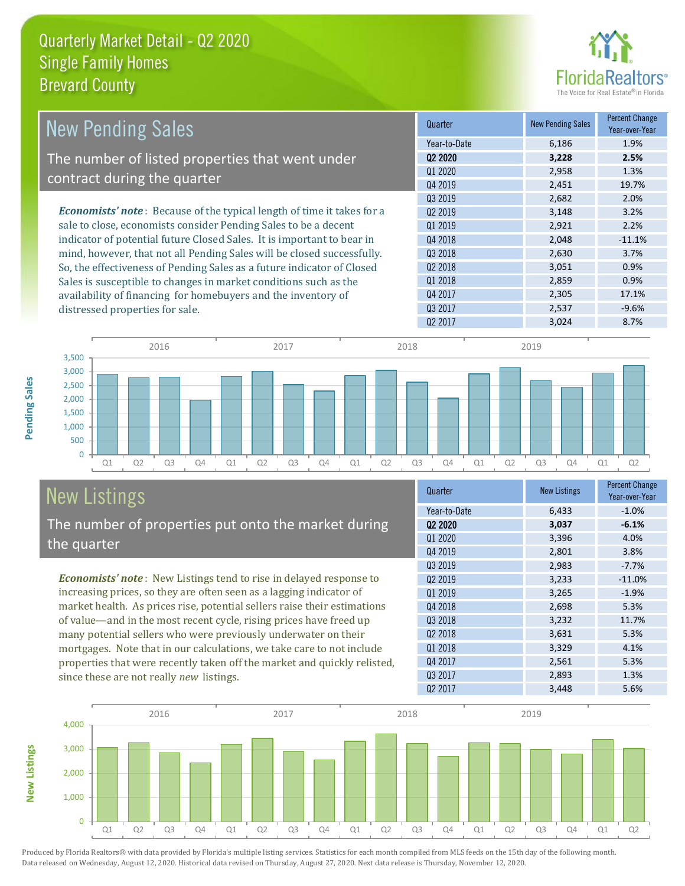

| <b>New Pending Sales</b>                                                       | Quarter             | <b>New Pending Sales</b> | <b>Percent Change</b><br>Year-over-Year |
|--------------------------------------------------------------------------------|---------------------|--------------------------|-----------------------------------------|
|                                                                                | Year-to-Date        | 6,186                    | 1.9%                                    |
| The number of listed properties that went under                                | 02 2020             | 3,228                    | 2.5%                                    |
|                                                                                | Q1 2020             | 2,958                    | 1.3%                                    |
| contract during the quarter                                                    | Q4 2019             | 2,451                    | 19.7%                                   |
|                                                                                | Q3 2019             | 2,682                    | 2.0%                                    |
| <b>Economists' note</b> : Because of the typical length of time it takes for a | Q <sub>2</sub> 2019 | 3,148                    | 3.2%                                    |
| sale to close, economists consider Pending Sales to be a decent                | 01 2019             | 2,921                    | 2.2%                                    |
| indicator of potential future Closed Sales. It is important to bear in         | Q4 2018             | 2,048                    | $-11.1%$                                |
| mind, however, that not all Pending Sales will be closed successfully.         | Q3 2018             | 2,630                    | 3.7%                                    |
| So, the effectiveness of Pending Sales as a future indicator of Closed         | Q <sub>2</sub> 2018 | 3,051                    | 0.9%                                    |
| Sales is susceptible to changes in market conditions such as the               | 01 2018             | 2,859                    | 0.9%                                    |
| availability of financing for homebuyers and the inventory of                  | Q4 2017             | 2,305                    | 17.1%                                   |
| distressed properties for sale.                                                | Q3 2017             | 2,537                    | $-9.6%$                                 |



# New Listings

**New Listings**

**Pending Sales**

**Pending Sales** 

The number of properties put onto the market during the quarter

*Economists' note* : New Listings tend to rise in delayed response to increasing prices, so they are often seen as a lagging indicator of market health. As prices rise, potential sellers raise their estimations of value—and in the most recent cycle, rising prices have freed up many potential sellers who were previously underwater on their mortgages. Note that in our calculations, we take care to not include properties that were recently taken off the market and quickly relisted, since these are not really *new* listings.

| <b>New Listings</b> | <b>Percent Change</b><br>Year-over-Year |
|---------------------|-----------------------------------------|
| 6,433               | $-1.0%$                                 |
| 3,037               | $-6.1%$                                 |
| 3,396               | 4.0%                                    |
| 2,801               | 3.8%                                    |
| 2,983               | $-7.7%$                                 |
| 3,233               | $-11.0%$                                |
| 3,265               | $-1.9%$                                 |
| 2,698               | 5.3%                                    |
| 3,232               | 11.7%                                   |
| 3,631               | 5.3%                                    |
| 3,329               | 4.1%                                    |
| 2,561               | 5.3%                                    |
| 2,893               | 1.3%                                    |
| 3,448               | 5.6%                                    |
|                     |                                         |

Q2 2017 3,024 8.7%

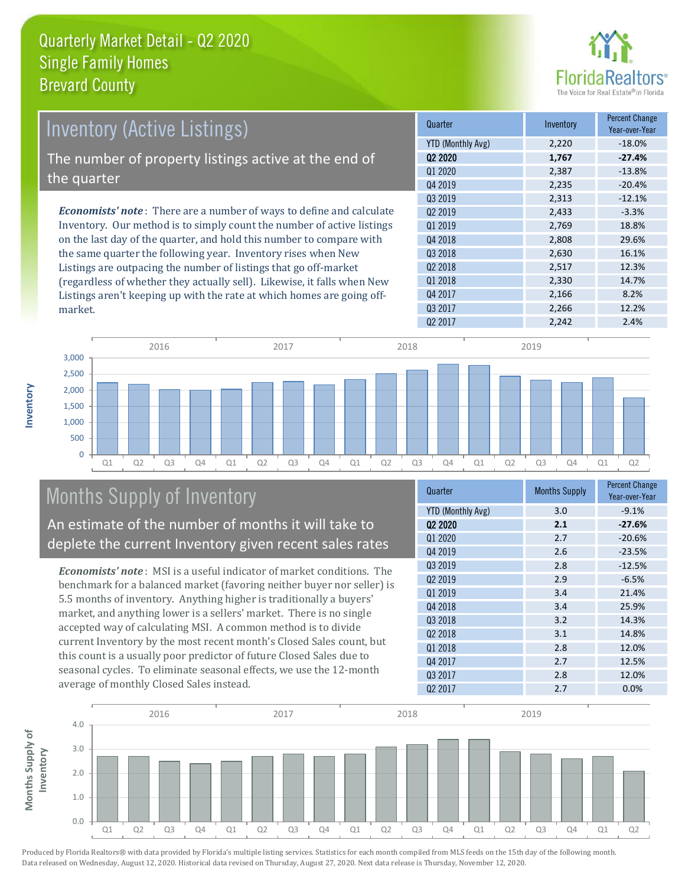

| Inventory (Active Listings)                                                  | Quarter           | Inventory | <b>Percent Change</b><br>Year-over-Year |
|------------------------------------------------------------------------------|-------------------|-----------|-----------------------------------------|
|                                                                              | YTD (Monthly Avg) | 2,220     | $-18.0\%$                               |
| The number of property listings active at the end of                         | 02 2020           | 1,767     | $-27.4%$                                |
|                                                                              | Q1 2020           | 2,387     | $-13.8%$                                |
| the quarter                                                                  | Q4 2019           | 2,235     | $-20.4%$                                |
|                                                                              | 03 2019           | 2,313     | $-12.1%$                                |
| <b>Economists' note</b> : There are a number of ways to define and calculate | 02 2019           | 2,433     | $-3.3%$                                 |
| Inventory. Our method is to simply count the number of active listings       | 01 2019           | 2,769     | 18.8%                                   |
| on the last day of the quarter, and hold this number to compare with         | Q4 2018           | 2,808     | 29.6%                                   |
| the same quarter the following year. Inventory rises when New                | Q3 2018           | 2,630     | 16.1%                                   |
| Listings are outpacing the number of listings that go off-market             | 02 2018           | 2,517     | 12.3%                                   |
| (regardless of whether they actually sell). Likewise, it falls when New      | 01 2018           | 2,330     | 14.7%                                   |
| Listings aren't keeping up with the rate at which homes are going off-       | Q4 2017           | 2,166     | 8.2%                                    |



# Months Supply of Inventory

An estimate of the number of months it will take to deplete the current Inventory given recent sales rates

*Economists' note* : MSI is a useful indicator of market conditions. The benchmark for a balanced market (favoring neither buyer nor seller) is 5.5 months of inventory. Anything higher is traditionally a buyers' market, and anything lower is a sellers' market. There is no single accepted way of calculating MSI. A common method is to divide current Inventory by the most recent month's Closed Sales count, but this count is a usually poor predictor of future Closed Sales due to seasonal cycles. To eliminate seasonal effects, we use the 12-month average of monthly Closed Sales instead.

| Quarter                         | <b>Months Supply</b> | <b>Percent Change</b><br>Year-over-Year |
|---------------------------------|----------------------|-----------------------------------------|
| <b>YTD (Monthly Avg)</b>        | 3.0                  | $-9.1%$                                 |
| Q <sub>2</sub> 20 <sub>20</sub> | 2.1                  | $-27.6%$                                |
| Q1 2020                         | 2.7                  | $-20.6%$                                |
| Q4 2019                         | 2.6                  | $-23.5%$                                |
| 03 2019                         | 2.8                  | $-12.5%$                                |
| Q <sub>2</sub> 2019             | 2.9                  | $-6.5%$                                 |
| Q1 2019                         | 3.4                  | 21.4%                                   |
| Q4 2018                         | 3.4                  | 25.9%                                   |
| 03 2018                         | 3.2                  | 14.3%                                   |
| Q <sub>2</sub> 2018             | 3.1                  | 14.8%                                   |
| Q1 2018                         | 2.8                  | 12.0%                                   |
| Q4 2017                         | 2.7                  | 12.5%                                   |
| Q3 2017                         | 2.8                  | 12.0%                                   |
| Q <sub>2</sub> 2017             | 2.7                  | 0.0%                                    |

Q3 2017 2,266 12.2%



Produced by Florida Realtors® with data provided by Florida's multiple listing services. Statistics for each month compiled from MLS feeds on the 15th day of the following month.

Data released on Wednesday, August 12, 2020. Historical data revised on Thursday, August 27, 2020. Next data release is Thursday, November 12, 2020.

market.

**Inventory**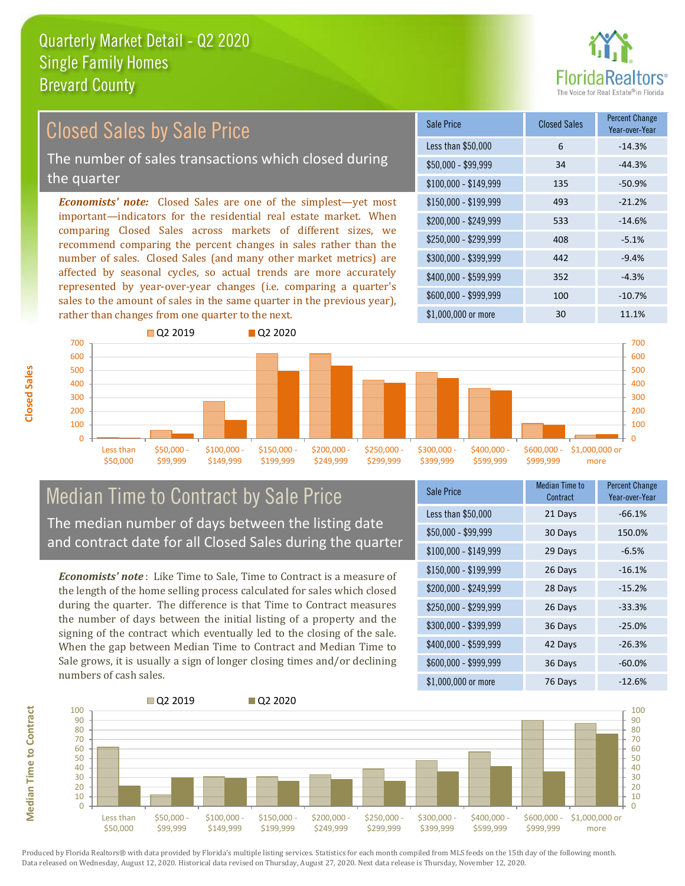

## Closed Sales by Sale Price

The number of sales transactions which closed during the quarter

*Economists' note:* Closed Sales are one of the simplest—yet most important—indicators for the residential real estate market. When comparing Closed Sales across markets of different sizes, we recommend comparing the percent changes in sales rather than the number of sales. Closed Sales (and many other market metrics) are affected by seasonal cycles, so actual trends are more accurately represented by year-over-year changes (i.e. comparing a quarter's sales to the amount of sales in the same quarter in the previous year), rather than changes from one quarter to the next.

| Sale Price            | <b>Closed Sales</b> | <b>Percent Change</b><br>Year-over-Year |
|-----------------------|---------------------|-----------------------------------------|
| Less than \$50,000    | 6                   | $-14.3%$                                |
| $$50,000 - $99,999$   | 34                  | $-44.3%$                                |
| $$100,000 - $149,999$ | 135                 | $-50.9%$                                |
| $$150,000 - $199,999$ | 493                 | $-21.2%$                                |
| \$200,000 - \$249,999 | 533                 | $-14.6%$                                |
| \$250,000 - \$299,999 | 408                 | $-5.1%$                                 |
| \$300,000 - \$399,999 | 442                 | $-9.4%$                                 |
| \$400,000 - \$599,999 | 352                 | $-4.3%$                                 |
| \$600,000 - \$999,999 | 100                 | $-10.7%$                                |
| \$1,000,000 or more   | 30                  | 11.1%                                   |



# Median Time to Contract by Sale Price The median number of days between the listing date

and contract date for all Closed Sales during the quarter

*Economists' note* : Like Time to Sale, Time to Contract is a measure of the length of the home selling process calculated for sales which closed during the quarter. The difference is that Time to Contract measures the number of days between the initial listing of a property and the signing of the contract which eventually led to the closing of the sale. When the gap between Median Time to Contract and Median Time to Sale grows, it is usually a sign of longer closing times and/or declining numbers of cash sales.

| <b>Sale Price</b>     | Median Time to<br>Contract | <b>Percent Change</b><br>Year-over-Year |
|-----------------------|----------------------------|-----------------------------------------|
| Less than \$50,000    | 21 Days                    | $-66.1%$                                |
| \$50,000 - \$99,999   | 30 Days                    | 150.0%                                  |
| $$100,000 - $149,999$ | 29 Days                    | $-6.5%$                                 |
| \$150,000 - \$199,999 | 26 Days                    | $-16.1%$                                |
| \$200,000 - \$249,999 | 28 Days                    | $-15.2%$                                |
| \$250,000 - \$299,999 | 26 Days                    | $-33.3%$                                |
| \$300,000 - \$399,999 | 36 Days                    | $-25.0%$                                |
| \$400,000 - \$599,999 | 42 Days                    | $-26.3%$                                |
| \$600,000 - \$999,999 | 36 Days                    | $-60.0%$                                |
| \$1,000,000 or more   | 76 Days                    | $-12.6%$                                |



Produced by Florida Realtors® with data provided by Florida's multiple listing services. Statistics for each month compiled from MLS feeds on the 15th day of the following month. Data released on Wednesday, August 12, 2020. Historical data revised on Thursday, August 27, 2020. Next data release is Thursday, November 12, 2020.

**Median Time to Contract**

**Median Time to Contract**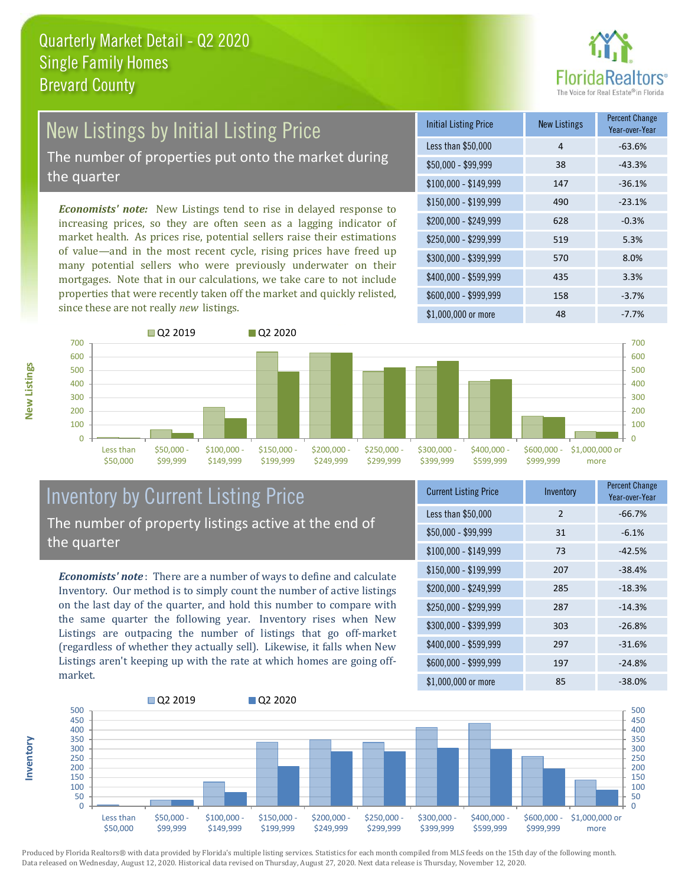

# New Listings by Initial Listing Price

The number of properties put onto the market during the quarter

*Economists' note:* New Listings tend to rise in delayed response to increasing prices, so they are often seen as a lagging indicator of market health. As prices rise, potential sellers raise their estimations of value—and in the most recent cycle, rising prices have freed up many potential sellers who were previously underwater on their mortgages. Note that in our calculations, we take care to not include properties that were recently taken off the market and quickly relisted, since these are not really *new* listings.





### Inventory by Current Listing Price The number of property listings active at the end of the quarter

*Economists' note* : There are a number of ways to define and calculate Inventory. Our method is to simply count the number of active listings on the last day of the quarter, and hold this number to compare with the same quarter the following year. Inventory rises when New Listings are outpacing the number of listings that go off-market (regardless of whether they actually sell). Likewise, it falls when New Listings aren't keeping up with the rate at which homes are going offmarket.

| <b>Current Listing Price</b> | Inventory     | Percent Change<br>Year-over-Year |
|------------------------------|---------------|----------------------------------|
| Less than \$50,000           | $\mathcal{P}$ | $-66.7%$                         |
| $$50,000 - $99,999$          | 31            | $-6.1%$                          |
| $$100,000 - $149,999$        | 73            | $-42.5%$                         |
| \$150,000 - \$199,999        | 207           | $-38.4%$                         |
| \$200,000 - \$249,999        | 285           | $-18.3%$                         |
| \$250,000 - \$299,999        | 287           | $-14.3%$                         |
| \$300,000 - \$399,999        | 303           | $-26.8%$                         |
| \$400,000 - \$599,999        | 297           | $-31.6%$                         |
| \$600,000 - \$999,999        | 197           | $-24.8%$                         |
| \$1,000,000 or more          | 85            | $-38.0%$                         |



Produced by Florida Realtors® with data provided by Florida's multiple listing services. Statistics for each month compiled from MLS feeds on the 15th day of the following month. Data released on Wednesday, August 12, 2020. Historical data revised on Thursday, August 27, 2020. Next data release is Thursday, November 12, 2020.

**Inventory**